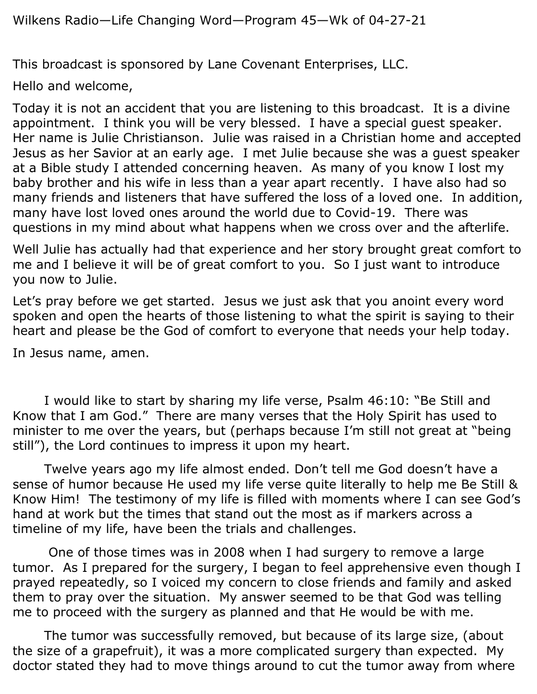This broadcast is sponsored by Lane Covenant Enterprises, LLC.

Hello and welcome,

Today it is not an accident that you are listening to this broadcast. It is a divine appointment. I think you will be very blessed. I have a special guest speaker. Her name is Julie Christianson. Julie was raised in a Christian home and accepted Jesus as her Savior at an early age. I met Julie because she was a guest speaker at a Bible study I attended concerning heaven. As many of you know I lost my baby brother and his wife in less than a year apart recently. I have also had so many friends and listeners that have suffered the loss of a loved one. In addition, many have lost loved ones around the world due to Covid-19. There was questions in my mind about what happens when we cross over and the afterlife.

Well Julie has actually had that experience and her story brought great comfort to me and I believe it will be of great comfort to you. So I just want to introduce you now to Julie.

Let's pray before we get started. Jesus we just ask that you anoint every word spoken and open the hearts of those listening to what the spirit is saying to their heart and please be the God of comfort to everyone that needs your help today.

In Jesus name, amen.

I would like to start by sharing my life verse, Psalm 46:10: "Be Still and Know that I am God." There are many verses that the Holy Spirit has used to minister to me over the years, but (perhaps because I'm still not great at "being still"), the Lord continues to impress it upon my heart.

Twelve years ago my life almost ended. Don't tell me God doesn't have a sense of humor because He used my life verse quite literally to help me Be Still & Know Him! The testimony of my life is filled with moments where I can see God's hand at work but the times that stand out the most as if markers across a timeline of my life, have been the trials and challenges.

One of those times was in 2008 when I had surgery to remove a large tumor. As I prepared for the surgery, I began to feel apprehensive even though I prayed repeatedly, so I voiced my concern to close friends and family and asked them to pray over the situation. My answer seemed to be that God was telling me to proceed with the surgery as planned and that He would be with me.

The tumor was successfully removed, but because of its large size, (about the size of a grapefruit), it was a more complicated surgery than expected. My doctor stated they had to move things around to cut the tumor away from where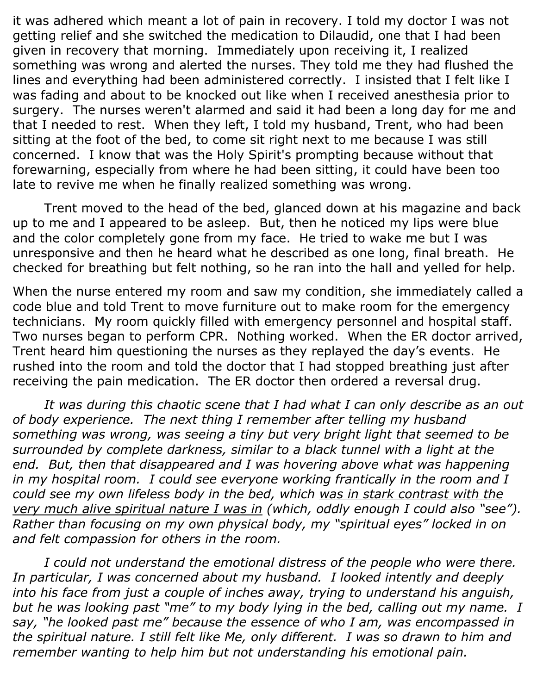it was adhered which meant a lot of pain in recovery. I told my doctor I was not getting relief and she switched the medication to Dilaudid, one that I had been given in recovery that morning. Immediately upon receiving it, I realized something was wrong and alerted the nurses. They told me they had flushed the lines and everything had been administered correctly. I insisted that I felt like I was fading and about to be knocked out like when I received anesthesia prior to surgery. The nurses weren't alarmed and said it had been a long day for me and that I needed to rest. When they left, I told my husband, Trent, who had been sitting at the foot of the bed, to come sit right next to me because I was still concerned. I know that was the Holy Spirit's prompting because without that forewarning, especially from where he had been sitting, it could have been too late to revive me when he finally realized something was wrong.

Trent moved to the head of the bed, glanced down at his magazine and back up to me and I appeared to be asleep. But, then he noticed my lips were blue and the color completely gone from my face. He tried to wake me but I was unresponsive and then he heard what he described as one long, final breath. He checked for breathing but felt nothing, so he ran into the hall and yelled for help.

When the nurse entered my room and saw my condition, she immediately called a code blue and told Trent to move furniture out to make room for the emergency technicians. My room quickly filled with emergency personnel and hospital staff. Two nurses began to perform CPR. Nothing worked. When the ER doctor arrived, Trent heard him questioning the nurses as they replayed the day's events. He rushed into the room and told the doctor that I had stopped breathing just after receiving the pain medication. The ER doctor then ordered a reversal drug.

*It was during this chaotic scene that I had what I can only describe as an out of body experience. The next thing I remember after telling my husband something was wrong, was seeing a tiny but very bright light that seemed to be surrounded by complete darkness, similar to a black tunnel with a light at the*  end. But, then that disappeared and I was hovering above what was happening *in my hospital room. I could see everyone working frantically in the room and I could see my own lifeless body in the bed, which was in stark contrast with the very much alive spiritual nature I was in (which, oddly enough I could also "see"). Rather than focusing on my own physical body, my "spiritual eyes" locked in on and felt compassion for others in the room.*

*I could not understand the emotional distress of the people who were there. In particular, I was concerned about my husband. I looked intently and deeply into his face from just a couple of inches away, trying to understand his anguish, but he was looking past "me" to my body lying in the bed, calling out my name. I say, "he looked past me" because the essence of who I am, was encompassed in the spiritual nature. I still felt like Me, only different. I was so drawn to him and remember wanting to help him but not understanding his emotional pain.*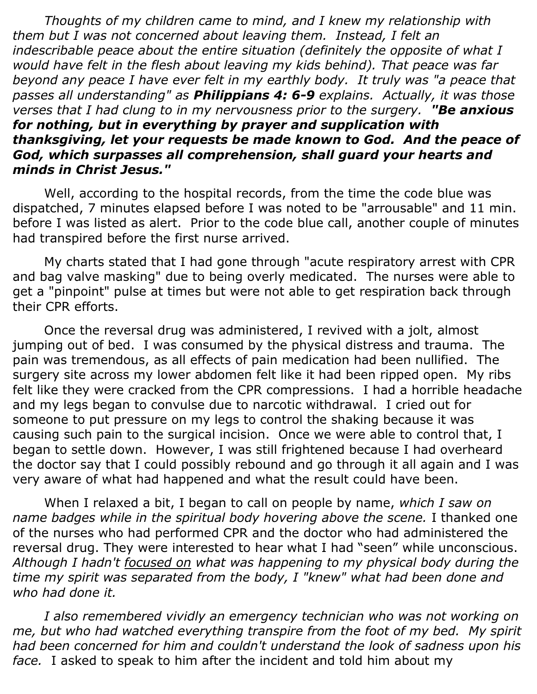*Thoughts of my children came to mind, and I knew my relationship with them but I was not concerned about leaving them. Instead, I felt an indescribable peace about the entire situation (definitely the opposite of what I would have felt in the flesh about leaving my kids behind). That peace was far beyond any peace I have ever felt in my earthly body. It truly was "a peace that passes all understanding" as Philippians 4: 6-9 explains. Actually, it was those verses that I had clung to in my nervousness prior to the surgery. "Be anxious for nothing, but in everything by prayer and supplication with thanksgiving, let your requests be made known to God. And the peace of God, which surpasses all comprehension, shall guard your hearts and minds in Christ Jesus."*

Well, according to the hospital records, from the time the code blue was dispatched, 7 minutes elapsed before I was noted to be "arrousable" and 11 min. before I was listed as alert. Prior to the code blue call, another couple of minutes had transpired before the first nurse arrived.

My charts stated that I had gone through "acute respiratory arrest with CPR and bag valve masking" due to being overly medicated. The nurses were able to get a "pinpoint" pulse at times but were not able to get respiration back through their CPR efforts.

Once the reversal drug was administered, I revived with a jolt, almost jumping out of bed. I was consumed by the physical distress and trauma. The pain was tremendous, as all effects of pain medication had been nullified. The surgery site across my lower abdomen felt like it had been ripped open. My ribs felt like they were cracked from the CPR compressions. I had a horrible headache and my legs began to convulse due to narcotic withdrawal. I cried out for someone to put pressure on my legs to control the shaking because it was causing such pain to the surgical incision. Once we were able to control that, I began to settle down. However, I was still frightened because I had overheard the doctor say that I could possibly rebound and go through it all again and I was very aware of what had happened and what the result could have been.

When I relaxed a bit, I began to call on people by name, *which I saw on name badges while in the spiritual body hovering above the scene.* I thanked one of the nurses who had performed CPR and the doctor who had administered the reversal drug. They were interested to hear what I had "seen" while unconscious. *Although I hadn't focused on what was happening to my physical body during the time my spirit was separated from the body, I "knew" what had been done and who had done it.* 

*I also remembered vividly an emergency technician who was not working on me, but who had watched everything transpire from the foot of my bed. My spirit had been concerned for him and couldn't understand the look of sadness upon his face.* I asked to speak to him after the incident and told him about my